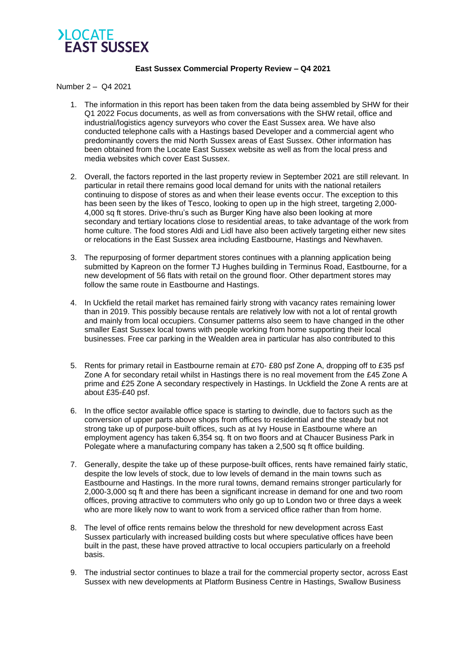

## **East Sussex Commercial Property Review – Q4 2021**

## Number 2 – Q4 2021

- 1. The information in this report has been taken from the data being assembled by SHW for their Q1 2022 Focus documents, as well as from conversations with the SHW retail, office and industrial/logistics agency surveyors who cover the East Sussex area. We have also conducted telephone calls with a Hastings based Developer and a commercial agent who predominantly covers the mid North Sussex areas of East Sussex. Other information has been obtained from the Locate East Sussex website as well as from the local press and media websites which cover East Sussex.
- 2. Overall, the factors reported in the last property review in September 2021 are still relevant. In particular in retail there remains good local demand for units with the national retailers continuing to dispose of stores as and when their lease events occur. The exception to this has been seen by the likes of Tesco, looking to open up in the high street, targeting 2,000- 4,000 sq ft stores. Drive-thru's such as Burger King have also been looking at more secondary and tertiary locations close to residential areas, to take advantage of the work from home culture. The food stores Aldi and Lidl have also been actively targeting either new sites or relocations in the East Sussex area including Eastbourne, Hastings and Newhaven.
- 3. The repurposing of former department stores continues with a planning application being submitted by Kapreon on the former TJ Hughes building in Terminus Road, Eastbourne, for a new development of 56 flats with retail on the ground floor. Other department stores may follow the same route in Eastbourne and Hastings.
- 4. In Uckfield the retail market has remained fairly strong with vacancy rates remaining lower than in 2019. This possibly because rentals are relatively low with not a lot of rental growth and mainly from local occupiers. Consumer patterns also seem to have changed in the other smaller East Sussex local towns with people working from home supporting their local businesses. Free car parking in the Wealden area in particular has also contributed to this
- 5. Rents for primary retail in Eastbourne remain at £70- £80 psf Zone A, dropping off to £35 psf Zone A for secondary retail whilst in Hastings there is no real movement from the £45 Zone A prime and £25 Zone A secondary respectively in Hastings. In Uckfield the Zone A rents are at about £35-£40 psf.
- 6. In the office sector available office space is starting to dwindle, due to factors such as the conversion of upper parts above shops from offices to residential and the steady but not strong take up of purpose-built offices, such as at Ivy House in Eastbourne where an employment agency has taken 6,354 sq. ft on two floors and at Chaucer Business Park in Polegate where a manufacturing company has taken a 2,500 sq ft office building.
- 7. Generally, despite the take up of these purpose-built offices, rents have remained fairly static, despite the low levels of stock, due to low levels of demand in the main towns such as Eastbourne and Hastings. In the more rural towns, demand remains stronger particularly for 2,000-3,000 sq ft and there has been a significant increase in demand for one and two room offices, proving attractive to commuters who only go up to London two or three days a week who are more likely now to want to work from a serviced office rather than from home.
- 8. The level of office rents remains below the threshold for new development across East Sussex particularly with increased building costs but where speculative offices have been built in the past, these have proved attractive to local occupiers particularly on a freehold basis.
- 9. The industrial sector continues to blaze a trail for the commercial property sector, across East Sussex with new developments at Platform Business Centre in Hastings, Swallow Business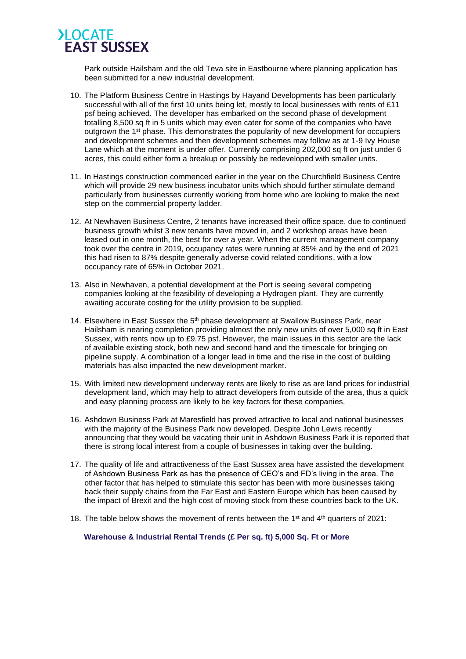

Park outside Hailsham and the old Teva site in Eastbourne where planning application has been submitted for a new industrial development.

- 10. The Platform Business Centre in Hastings by Hayand Developments has been particularly successful with all of the first 10 units being let, mostly to local businesses with rents of £11 psf being achieved. The developer has embarked on the second phase of development totalling 8,500 sq ft in 5 units which may even cater for some of the companies who have outgrown the 1<sup>st</sup> phase. This demonstrates the popularity of new development for occupiers and development schemes and then development schemes may follow as at 1-9 Ivy House Lane which at the moment is under offer. Currently comprising 202,000 sq ft on just under 6 acres, this could either form a breakup or possibly be redeveloped with smaller units.
- 11. In Hastings construction commenced earlier in the year on the Churchfield Business Centre which will provide 29 new business incubator units which should further stimulate demand particularly from businesses currently working from home who are looking to make the next step on the commercial property ladder.
- 12. At Newhaven Business Centre, 2 tenants have increased their office space, due to continued business growth whilst 3 new tenants have moved in, and 2 workshop areas have been leased out in one month, the best for over a year. When the current management company took over the centre in 2019, occupancy rates were running at 85% and by the end of 2021 this had risen to 87% despite generally adverse covid related conditions, with a low occupancy rate of 65% in October 2021.
- 13. Also in Newhaven, a potential development at the Port is seeing several competing companies looking at the feasibility of developing a Hydrogen plant. They are currently awaiting accurate costing for the utility provision to be supplied.
- 14. Elsewhere in East Sussex the  $5<sup>th</sup>$  phase development at Swallow Business Park, near Hailsham is nearing completion providing almost the only new units of over 5,000 sq ft in East Sussex, with rents now up to £9.75 psf. However, the main issues in this sector are the lack of available existing stock, both new and second hand and the timescale for bringing on pipeline supply. A combination of a longer lead in time and the rise in the cost of building materials has also impacted the new development market.
- 15. With limited new development underway rents are likely to rise as are land prices for industrial development land, which may help to attract developers from outside of the area, thus a quick and easy planning process are likely to be key factors for these companies.
- 16. Ashdown Business Park at Maresfield has proved attractive to local and national businesses with the majority of the Business Park now developed. Despite John Lewis recently announcing that they would be vacating their unit in Ashdown Business Park it is reported that there is strong local interest from a couple of businesses in taking over the building.
- 17. The quality of life and attractiveness of the East Sussex area have assisted the development of Ashdown Business Park as has the presence of CEO's and FD's living in the area. The other factor that has helped to stimulate this sector has been with more businesses taking back their supply chains from the Far East and Eastern Europe which has been caused by the impact of Brexit and the high cost of moving stock from these countries back to the UK.
- 18. The table below shows the movement of rents between the 1<sup>st</sup> and 4<sup>th</sup> quarters of 2021:

**Warehouse & Industrial Rental Trends (£ Per sq. ft) 5,000 Sq. Ft or More**